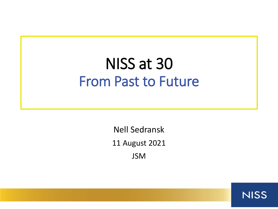### NISS at 30 From Past to Future

Nell Sedransk 11 August 2021 JSM

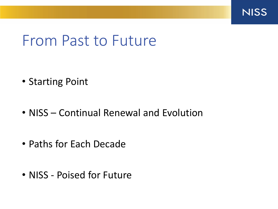

#### From Past to Future

- Starting Point
- NISS Continual Renewal and Evolution
- Paths for Each Decade
- NISS Poised for Future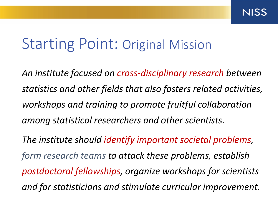#### Starting Point: Original Mission

*An institute focused on cross-disciplinary research between statistics and other fields that also fosters related activities, workshops and training to promote fruitful collaboration among statistical researchers and other scientists.* 

*The institute should identify important societal problems, form research teams to attack these problems, establish postdoctoral fellowships, organize workshops for scientists and for statisticians and stimulate curricular improvement.*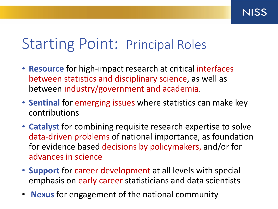#### Starting Point: Principal Roles

- **Resource** for high-impact research at critical interfaces between statistics and disciplinary science, as well as between industry/government and academia.
- **Sentinal** for emerging issues where statistics can make key contributions
- **Catalyst** for combining requisite research expertise to solve data-driven problems of national importance, as foundation for evidence based decisions by policymakers, and/or for advances in science
- **Support** for career development at all levels with special emphasis on early career statisticians and data scientists
- **Nexus** for engagement of the national community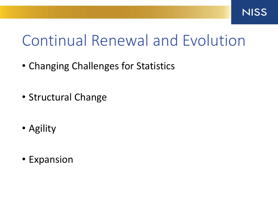# Continual Renewal and Evolution

- Changing Challenges for Statistics
- Structural Change
- Agility
- Expansion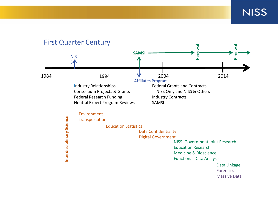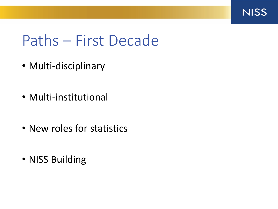

#### Paths – First Decade

- Multi-disciplinary
- Multi-institutional
- New roles for statistics
- NISS Building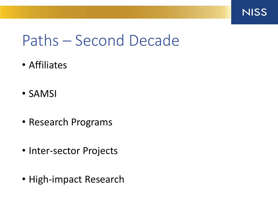

### Paths – Second Decade

- Affiliates
- SAMSI
- Research Programs
- Inter-sector Projects
- High-impact Research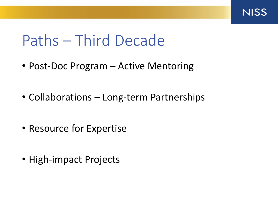

#### Paths – Third Decade

- Post-Doc Program Active Mentoring
- Collaborations Long-term Partnerships
- Resource for Expertise
- High-impact Projects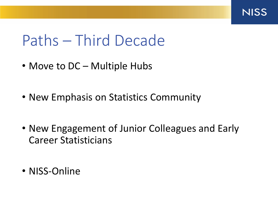

#### Paths – Third Decade

- Move to DC Multiple Hubs
- New Emphasis on Statistics Community
- New Engagement of Junior Colleagues and Early Career Statisticians
- NISS-Online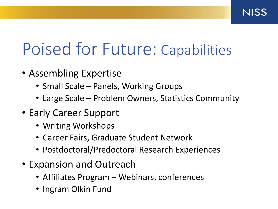# Poised for Future: Capabilities

- Assembling Expertise
	- Small Scale Panels, Working Groups
	- Large Scale Problem Owners, Statistics Community
- Early Career Support
	- Writing Workshops
	- Career Fairs, Graduate Student Network
	- Postdoctoral/Predoctoral Research Experiences
- Expansion and Outreach
	- Affiliates Program Webinars, conferences
	- Ingram Olkin Fund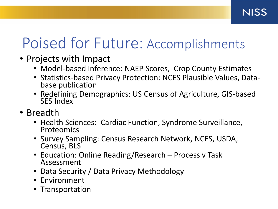# Poised for Future: Accomplishments

- Projects with Impact
	- Model-based Inference: NAEP Scores, Crop County Estimates
	- Statistics-based Privacy Protection: NCES Plausible Values, Data- base publication
	- Redefining Demographics: US Census of Agriculture, GIS-based SES Index
- Breadth
	- Health Sciences: Cardiac Function, Syndrome Surveillance, Proteomics
	- Survey Sampling: Census Research Network, NCES, USDA, Census, BLS
	- Education: Online Reading/Research Process v Task Assessment
	- Data Security / Data Privacy Methodology
	- Environment
	- Transportation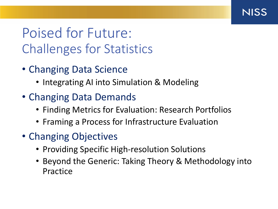

#### Poised for Future: Challenges for Statistics

- Changing Data Science
	- Integrating AI into Simulation & Modeling
- Changing Data Demands
	- Finding Metrics for Evaluation: Research Portfolios
	- Framing a Process for Infrastructure Evaluation
- Changing Objectives
	- Providing Specific High-resolution Solutions
	- Beyond the Generic: Taking Theory & Methodology into Practice